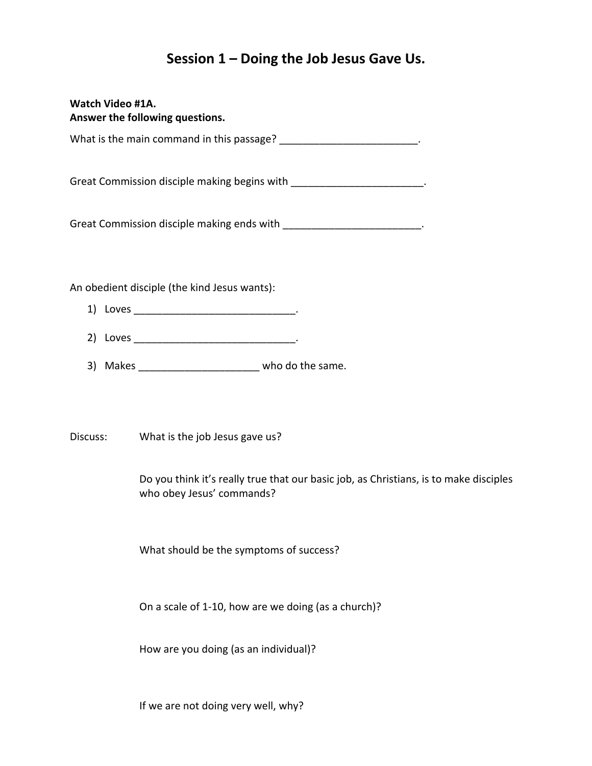## **Session 1 – Doing the Job Jesus Gave Us.**

| <b>Watch Video #1A.</b><br>Answer the following questions. |                                                                                                     |
|------------------------------------------------------------|-----------------------------------------------------------------------------------------------------|
|                                                            | What is the main command in this passage? __________________________.                               |
|                                                            | Great Commission disciple making begins with ________________________.                              |
|                                                            | Great Commission disciple making ends with ___________________________.                             |
|                                                            | An obedient disciple (the kind Jesus wants):                                                        |
|                                                            |                                                                                                     |
|                                                            |                                                                                                     |
|                                                            | 3) Makes _________________________________ who do the same.                                         |
|                                                            |                                                                                                     |
|                                                            | Discuss: What is the job Jesus gave us?                                                             |
|                                                            | Do you think it's really true that our basic job, as Christians, is to<br>who obey Jesus' commands? |
|                                                            | What should be the symptoms of success?                                                             |
|                                                            | On a scale of 1-10, how are we doing (as a church)?                                                 |

make disciples

How are you doing (as an individual)?

If we are not doing very well, why?